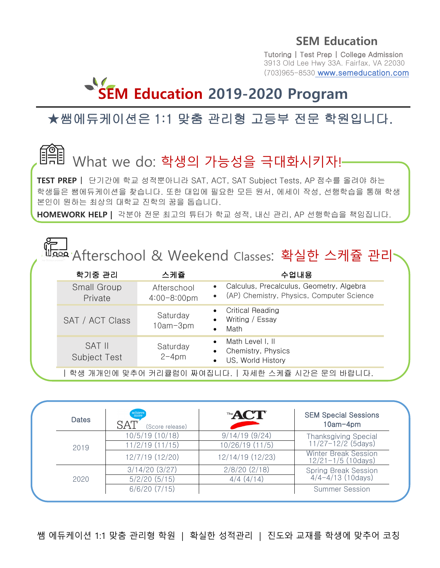Tutoring | Test Prep | College Admission 3913 Old Lee Hwy 33A. Fairfax, VA 22030 (703)965-8530 www.semeducation.com

# **SEM Education 2019-2020 Program**

## ★쌤에듀케이션은 1:1 맞춤 관리형 고등부 전문 학원입니다.

## What we do: 학생의 가능성을 극대화시키자!-

e 학생들은 쌤에듀케이션을 찾습니다. 또한 대입에 필요한 모든 원서, 에세이 작성, 선행학습을 통해 학생 **TEST PREP** | 단기간에 학교 성적뿐아니라 SAT, ACT, SAT Subject Tests, AP 점수를 올려야 하는 본인이 원하는 최상의 대학교 진학의 꿈을 돕습니다.

**HOMEWORK HELP |** 각분야 전문 최고의 튜터가 학교 성적, 내신 관리, AP 선행학습을 책임집니다.

|  |                                      |                                        | <sup>讪aaa</sup> Afterschool & Weekend Classes: 확실한 스케쥴 관리                                                       |  |
|--|--------------------------------------|----------------------------------------|-----------------------------------------------------------------------------------------------------------------|--|
|  | 학기중 관리                               | 스케쥴                                    | 수업내용                                                                                                            |  |
|  | Small Group<br>Private               | Afterschool<br>$4:00 - 8:00 \text{pm}$ | Calculus, Precalculus, Geometry, Algebra<br>$\bullet$<br>(AP) Chemistry, Physics, Computer Science<br>$\bullet$ |  |
|  | SAT / ACT Class                      | Saturday<br>$10am-3pm$                 | <b>Critical Reading</b><br>Writing / Essay<br>$\bullet$<br>Math                                                 |  |
|  | <b>SAT II</b><br><b>Subject Test</b> | Saturday<br>$2-4$ pm                   | Math Level I, II<br>$\bullet$<br>Chemistry, Physics<br>US, World History                                        |  |
|  |                                      |                                        | '학생 개개인에 맞추어 커리큘럼이 짜여집니다.ㅣ자세한 스케쥴 시간은 문의 바랍니다.                                                                  |  |

| <b>Dates</b> | achieve<br>more<br>SAT<br>(Score release) | The <b>ACT</b>                             | <b>SEM Special Sessions</b><br>$10am-4pm$             |
|--------------|-------------------------------------------|--------------------------------------------|-------------------------------------------------------|
|              | 10/5/19 (10/18)                           | 9/14/19(9/24)                              |                                                       |
| 2019         | 11/2/19 (11/15)                           | Thanksgiving Special<br>11/27-12/2 (5days) |                                                       |
|              | 12/7/19 (12/20)                           | 12/14/19 (12/23)                           | <b>Winter Break Session</b><br>$12/21 - 1/5$ (10days) |
|              | $3/14/20$ (3/27)                          | $2/8/20$ (2/18)                            | <b>Spring Break Session</b>                           |
| 2020         | $5/2/20$ (5/15)                           | 4/4(4/14)                                  | $4/4 - 4/13$ (10days)                                 |
|              | $6/6/20$ $(7/15)$                         |                                            | <b>Summer Session</b>                                 |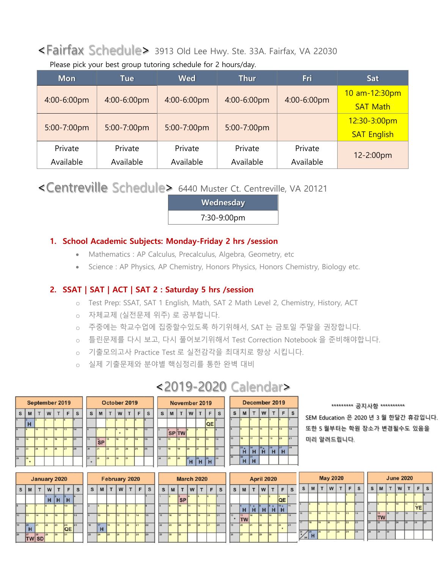## <Fairfax Schedule> 3913 Old Lee Hwy. Ste. 33A. Fairfax, VA 22030

Please pick your best group tutoring schedule for 2 hours/day.

| <b>Mon</b>  | Tue         | <b>Wed</b>  | <b>Thur</b> | Fri         | <b>Sat</b>         |  |  |
|-------------|-------------|-------------|-------------|-------------|--------------------|--|--|
| 4:00-6:00pm | 4:00-6:00pm | 4:00-6:00pm | 4:00-6:00pm | 4:00-6:00pm | 10 am-12:30pm      |  |  |
|             |             |             |             |             | <b>SAT Math</b>    |  |  |
|             |             |             |             |             | 12:30-3:00pm       |  |  |
| 5:00-7:00pm | 5:00-7:00pm | 5:00-7:00pm | 5:00-7:00pm |             | <b>SAT English</b> |  |  |
| Private     | Private     | Private     | Private     | Private     |                    |  |  |
| Available   | Available   | Available   | Available   | Available   | 12-2:00pm          |  |  |

<Centreville Schedule> 6440 Muster Ct. Centreville, VA 20121

**Wednesday** 7:30-9:00pm

#### **1. School Academic Subjects: Monday-Friday 2 hrs /session**

- Mathematics : AP Calculus, Precalculus, Algebra, Geometry, etc
- Science : AP Physics, AP Chemistry, Honors Physics, Honors Chemistry, Biology etc.

#### **2. SSAT | SAT | ACT | SAT 2 : Saturday 5 hrs /session**

- o Test Prep: SSAT, SAT 1 English, Math, SAT 2 Math Level 2, Chemistry, History, ACT
- o 자체교제 (실전문제 위주) 로 공부합니다.

 $\mathsf F$  $\mathbf s$ 

- o 주중에는 학교수업에 집중할수있도록 하기위해서, SAT 는 금토일 주말을 권장합니다.
- o 틀린문제를 다시 보고, 다시 풀어보기위해서 Test Correction Notebook 을 준비해야합니다.
- o 기출모의고사 Practice Test 로 실전감각을 최대치로 향상 시킵니다.
- o 실제 기출문제와 분야별 핵심정리를 통한 완벽 대비

 $\mathsf{s}$  $\mathsf{M}$  $\mathsf T$ w  $\mathsf T$ 

.<br>sPl†w

| September 2019 |                 |                  |                 |    |                 |    |  |  |  |  |  |  |  |  |  |
|----------------|-----------------|------------------|-----------------|----|-----------------|----|--|--|--|--|--|--|--|--|--|
| S              | M               | W<br>S<br>F<br>т |                 |    |                 |    |  |  |  |  |  |  |  |  |  |
|                | Þ.<br>н         |                  |                 | š  | ä               | 7  |  |  |  |  |  |  |  |  |  |
|                |                 | 10               | $\overline{11}$ | 12 | $\overline{13}$ | 14 |  |  |  |  |  |  |  |  |  |
| 15             | 16              | 17               | 1R              | 19 | 20              | 21 |  |  |  |  |  |  |  |  |  |
| 22             | 23              | $\overline{24}$  | 25              | 26 | 27              | 28 |  |  |  |  |  |  |  |  |  |
| 50             | 30 <sub>2</sub> |                  |                 |    |                 |    |  |  |  |  |  |  |  |  |  |

| 19              |    | October 2019 |                           |    |    |    |    |  |  |  |  |  |  |  |
|-----------------|----|--------------|---------------------------|----|----|----|----|--|--|--|--|--|--|--|
| F               | S  | S            | M                         | т  | W  |    |    |  |  |  |  |  |  |  |
| s.              |    |              |                           |    | 2  |    |    |  |  |  |  |  |  |  |
| $\overline{13}$ | 14 |              |                           |    |    | 10 | 11 |  |  |  |  |  |  |  |
| 20              | 21 | 13           | $\overline{\mathsf{S}}$ P | 15 | 16 | 17 | 18 |  |  |  |  |  |  |  |
| 27              | 28 | 20           | 21                        | 22 | 23 | 24 | 25 |  |  |  |  |  |  |  |
|                 |    | 27           | 28                        | 29 | 30 | 31 |    |  |  |  |  |  |  |  |
|                 |    |              |                           |    |    |    |    |  |  |  |  |  |  |  |

QE

#### \*\*\*\*\*\*\*\*\* 공지사항 \*\*\*\*\*\*\*\*\*\*

SEM Education 은 2020 년 3 월 한달간 휴강입니다. 또한 5 월부터는 학원 장소가 변경될수도 있음을 미리 알려드립니다.

| <b>January 2020</b>     |                |                       |    |        |                 |    |  |  |  |  |  |  |  |
|-------------------------|----------------|-----------------------|----|--------|-----------------|----|--|--|--|--|--|--|--|
| S                       | M              |                       | W  | т      | F               | S  |  |  |  |  |  |  |  |
|                         |                |                       | н  | R<br>н | п<br>н          |    |  |  |  |  |  |  |  |
|                         |                |                       |    |        | 10              | 11 |  |  |  |  |  |  |  |
| 12                      | 13             | 14                    | 15 | 16     | 17              |    |  |  |  |  |  |  |  |
| 19                      | 20<br>н        | 21                    | 22 | 23     | 24<br>QE        | 25 |  |  |  |  |  |  |  |
| $\overline{\mathbf{z}}$ | $\overline{z}$ | $\overline{28}$<br>91 | 29 | 30     | $\overline{31}$ |    |  |  |  |  |  |  |  |

|  | <b>February 2020</b> |                      |    |    |                |                 |  |  |  |  |  |  |  |  |  |
|--|----------------------|----------------------|----|----|----------------|-----------------|--|--|--|--|--|--|--|--|--|
|  | S                    | M                    |    | W  |                | F               |  |  |  |  |  |  |  |  |  |
|  |                      |                      |    |    |                |                 |  |  |  |  |  |  |  |  |  |
|  | 2                    |                      |    |    |                |                 |  |  |  |  |  |  |  |  |  |
|  |                      | 10                   | Ħ  | 12 | 13             | 14              |  |  |  |  |  |  |  |  |  |
|  | 16                   | $\overline{17}$<br>н | 18 | 19 | 20             | $\overline{21}$ |  |  |  |  |  |  |  |  |  |
|  | 23                   | 24                   | 25 | 26 | $\overline{z}$ | 28              |  |  |  |  |  |  |  |  |  |

| 10 | $\overline{11}$ | 12                | 13      | 14              | 15      | ١ë |
|----|-----------------|-------------------|---------|-----------------|---------|----|
| 17 | 18              | 19                | 20      | $\overline{21}$ | 22      | 23 |
| 24 | 25              | 26                | 27<br>н | 28<br>н         | 29<br>н | 34 |
|    |                 |                   |         |                 |         |    |
|    |                 | <b>March 2020</b> |         |                 |         |    |
| S  |                 |                   |         |                 |         |    |
|    | M               |                   | W       |                 | F       |    |
|    | 2               | s<br><b>SP</b>    |         |                 |         | 7  |
|    |                 | 10                | 11      | 12              | 13      | ī  |

|   | November 2019 |  |  |  | December 2019 |  |  |
|---|---------------|--|--|--|---------------|--|--|
| M |               |  |  |  | W             |  |  |

ຶĤ  $\mathbf{H}$ 

Ïн  $H$ 

ΪĤ.

|    |         | nuary 2020 |                 |                                 |                |    |    | February 2020 |     |    |    |    | <b>March 2020</b> |           |   |    |     |          |    | <b>April 2020</b> |              |   |             |                 |     |          | <b>May 2020</b> |              |    |    |    |    | <b>June 2020</b> |                 |                          |     |    |                 |          |
|----|---------|------------|-----------------|---------------------------------|----------------|----|----|---------------|-----|----|----|----|-------------------|-----------|---|----|-----|----------|----|-------------------|--------------|---|-------------|-----------------|-----|----------|-----------------|--------------|----|----|----|----|------------------|-----------------|--------------------------|-----|----|-----------------|----------|
|    | W       |            | F               | <b>S</b>                        | s              | M  |    | W             | T   | F  | S  | S  | M                 |           | W |    | F   | <b>S</b> | S  | M                 | $\mathbf{r}$ | W | T           | F               | S   | S        |                 | $\mathbf{T}$ | W  |    | F  | s  | S                | M               | $\overline{\phantom{0}}$ | W   |    | E               | <b>S</b> |
|    | $H$ $H$ |            | H               |                                 |                |    |    |               |     |    |    |    |                   | <b>SP</b> |   |    |     |          |    |                   |              |   |             | <b>QE</b>       |     |          |                 |              |    |    |    |    |                  |                 |                          |     |    |                 |          |
|    |         |            | 10              | 111                             | $\overline{2}$ |    |    |               |     |    |    |    |                   | 10        |   | 12 | 113 | 14       |    |                   | $7 +$<br>H   |   | $9 +$<br>нı | $10*$           | 111 |          |                 |              |    |    |    |    |                  |                 |                          | tn. |    | 12<br><b>YE</b> | 13       |
| 15 |         | 16         | 17              | 18                              | <b>I</b>       | 10 | 11 |               |     | 14 | 15 | 15 |                   | 17        |   | 19 | 20  | 21       | 12 | 13<br><b>TWI</b>  |              |   |             |                 | 18  | 10       | 11              | 12           | 13 | 14 | 15 | 16 | 14               | 15<br><b>TW</b> |                          | 17  | 18 | 119             | 20       |
| z2 |         | 23         | 24<br><b>QE</b> | $425$ <sup><math>-</math></sup> | 16             | 17 | 18 |               |     |    | 22 | 22 |                   | 24        |   | 26 | 27  | 28       | 19 |                   |              |   | 23          | 24<br>$\bullet$ | 25  | 17       | 18              | 10           | 20 |    | 22 | 23 |                  | 22              |                          |     | 25 | 26              | 27       |
| SD |         |            | 31              |                                 | 23             | 24 | 25 |               | 127 | 28 | 29 | 29 |                   | 31        |   |    |     |          | 26 | 27                | 28           |   | 30          |                 |     | 24<br>31 |                 |              | 27 | 28 |    | 30 | 2i               | 29              |                          |     |    |                 |          |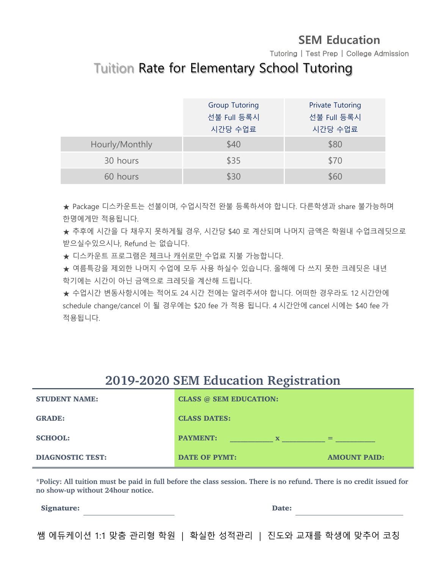Tutoring | Test Prep | College Admission

## Tuition Rate for Elementary School Tutoring

|                | <b>Group Tutoring</b>  | <b>Private Tutoring</b> |
|----------------|------------------------|-------------------------|
|                | 선불 Full 등록시<br>시간당 수업료 | 선불 Full 등록시<br>시간당 수업료  |
| Hourly/Monthly | \$40                   | \$80                    |
| 30 hours       | \$35                   | \$70                    |
| 60 hours       | くくしょう トラック トラック しんしゃ   | \$60                    |

★ Package 디스카운트는 선불이며, 수업시작전 완불 등록하셔야 합니다. 다른학생과 share 불가능하며 한명에게만 적용됩니다.

★ 추후에 시간을 다 채우지 못하게될 경우, 시간당 \$40 로 계산되며 나머지 금액은 학원내 수업크레딧으로 받으실수있으시나, Refund 는 없습니다.

★ 디스카운트 프로그램은 체크나 캐쉬로만 수업료 지불 가능합니다.

★ 여름특강을 제외한 나머지 수업에 모두 사용 하실수 있습니다. 올해에 다 쓰지 못한 크레딧은 내년 학기에는 시간이 아닌 금액으로 크레딧을 계산해 드립니다.

★ 수업시간 변동사항시에는 적어도 24 시간 전에는 알려주셔야 합니다. 어떠한 경우라도 12 시간안에 schedule change/cancel 이 될 경우에는 \$20 fee 가 적용 됩니다. 4 시간안에 cancel 시에는 \$40 fee 가 적용됩니다.

## **2019-2020 SEM Education Registration**

| <b>STUDENT NAME:</b>    | <b>CLASS @ SEM EDUCATION:</b>  |                     |
|-------------------------|--------------------------------|---------------------|
| <b>GRADE:</b>           | <b>CLASS DATES:</b>            |                     |
| <b>SCHOOL:</b>          | <b>PAYMENT:</b><br>$\mathbf x$ | $=$                 |
| <b>DIAGNOSTIC TEST:</b> | <b>DATE OF PYMT:</b>           | <b>AMOUNT PAID:</b> |

**\*Policy: All tuition must be paid in full before the class session. There is no refund. There is no credit issued for no show-up without 24hour notice.** 

Signature: Date: Date: Date: Date: Date: Date: Date: Date: Date: Date: Date: Date: Date: Date: Date: Date: Date: Date: Date: Date: Date: Date: Date: Date: Date: Date: Date: Date: Date: Date: Date: Date: Date: Date: Date: D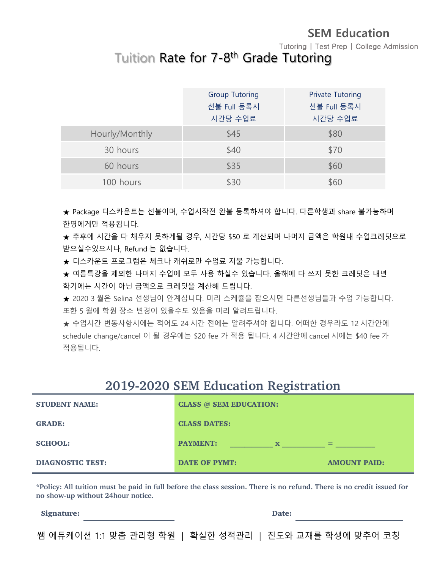Tutoring | Test Prep | College Admission

## Tuition Rate for 7-8<sup>th</sup> Grade Tutoring

|                | <b>Group Tutoring</b><br>선불 Full 등록시<br>시간당 수업료 | <b>Private Tutoring</b><br>선불 Full 등록시<br>시간당 수업료 |
|----------------|-------------------------------------------------|---------------------------------------------------|
| Hourly/Monthly | \$45                                            | \$80                                              |
| 30 hours       | \$40                                            | \$70                                              |
| 60 hours       | \$35                                            | \$60                                              |
| 100 hours      | \$30                                            | \$60                                              |

★ Package 디스카운트는 선불이며, 수업시작전 완불 등록하셔야 합니다. 다른학생과 share 불가능하며 한명에게만 적용됩니다.

★ 추후에 시간을 다 채우지 못하게될 경우, 시간당 \$50 로 계산되며 나머지 금액은 학원내 수업크레딧으로 받으실수있으시나, Refund 는 없습니다.

★ 디스카운트 프로그램은 체크나 캐쉬로만 수업료 지불 가능합니다.

★ 여름특강을 제외한 나머지 수업에 모두 사용 하실수 있습니다. 올해에 다 쓰지 못한 크레딧은 내년 학기에는 시간이 아닌 금액으로 크레딧을 계산해 드립니다.

★ 2020 3 월은 Selina 선생님이 안계십니다. 미리 스케쥴을 잡으시면 다른선생님들과 수업 가능합니다. 또한 5 월에 학원 장소 변경이 있을수도 있음을 미리 알려드립니다.

★ 수업시간 변동사항시에는 적어도 24 시간 전에는 알려주셔야 합니다. 어떠한 경우라도 12 시간안에 schedule change/cancel 이 될 경우에는 \$20 fee 가 적용 됩니다. 4 시간안에 cancel 시에는 \$40 fee 가 적용됩니다.

#### **2019-2020 SEM Education Registration**

| <b>STUDENT NAME:</b>    | <b>CLASS @ SEM EDUCATION:</b>  |                     |
|-------------------------|--------------------------------|---------------------|
| <b>GRADE:</b>           | <b>CLASS DATES:</b>            |                     |
| <b>SCHOOL:</b>          | <b>PAYMENT:</b><br>$\mathbf x$ | $=$                 |
| <b>DIAGNOSTIC TEST:</b> | <b>DATE OF PYMT:</b>           | <b>AMOUNT PAID:</b> |

**\*Policy: All tuition must be paid in full before the class session. There is no refund. There is no credit issued for no show-up without 24hour notice.** 

Signature: Date: Development and Date: Date: Date: Date: Date: Date: Date: Date: Date: Date: Date: Date: Date: Date: Date: Date: Date: Date: Date: Date: Date: Date: Date: Date: Date: Date: Date: Date: Date: Date: Date: Dat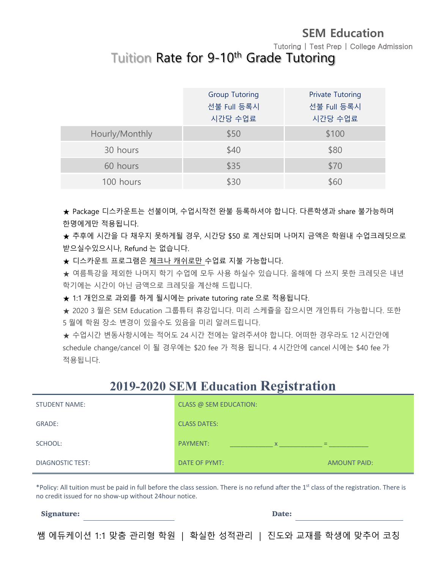Tutoring | Test Prep | College Admission

## Tuition Rate for 9-10<sup>th</sup> Grade Tutoring

|                | <b>Group Tutoring</b><br>선불 Full 등록시<br>시간당 수업료 | <b>Private Tutoring</b><br>선불 Full 등록시<br>시간당 수업료 |
|----------------|-------------------------------------------------|---------------------------------------------------|
| Hourly/Monthly | \$50                                            | \$100                                             |
| 30 hours       | \$40                                            | \$80                                              |
| 60 hours       | \$35                                            | \$70                                              |
| 100 hours      | \$30                                            | \$60                                              |

★ Package 디스카운트는 선불이며, 수업시작전 완불 등록하셔야 합니다. 다른학생과 share 불가능하며 한명에게만 적용됩니다.

★ 추후에 시간을 다 채우지 못하게될 경우, 시간당 \$50 로 계산되며 나머지 금액은 학원내 수업크레딧으로 받으실수있으시나, Refund 는 없습니다.

★ 디스카운트 프로그램은 체크나 캐쉬로만 수업료 지불 가능합니다.

★ 여름특강을 제외한 나머지 학기 수업에 모두 사용 하실수 있습니다. 올해에 다 쓰지 못한 크레딧은 내년 학기에는 시간이 아닌 금액으로 크레딧을 계산해 드립니다.

★ 1:1 개인으로 과외를 하게 될시에는 private tutoring rate 으로 적용됩니다.

★ 2020 3 월은 SEM Education 그룹튜터 휴강입니다. 미리 스케쥴을 잡으시면 개인튜터 가능합니다. 또한 5 월에 학원 장소 변경이 있을수도 있음을 미리 알려드립니다.

★ 수업시간 변동사항시에는 적어도 24 시간 전에는 알려주셔야 합니다. 어떠한 경우라도 12 시간안에 schedule change/cancel 이 될 경우에는 \$20 fee 가 적용 됩니다. 4 시간안에 cancel 시에는 \$40 fee 가 적용됩니다.

#### **2019-2020 SEM Education Registration**

| <b>STUDENT NAME:</b> | CLASS @ SEM EDUCATION: |                     |
|----------------------|------------------------|---------------------|
| GRADE:               | <b>CLASS DATES:</b>    |                     |
| SCHOOL:              | PAYMENT:<br>X          | $=$                 |
| DIAGNOSTIC TEST:     | DATE OF PYMT:          | <b>AMOUNT PAID:</b> |

\*Policy: All tuition must be paid in full before the class session. There is no refund after the 1<sup>st</sup> class of the registration. There is no credit issued for no show-up without 24hour notice.

Signature: Date: Development and Date: Date: Date: Date: Date: Date: Date: Date: Date: Date: Date: Date: Date: Date: Date: Date: Date: Date: Date: Date: Date: Date: Date: Date: Date: Date: Date: Date: Date: Date: Date: Dat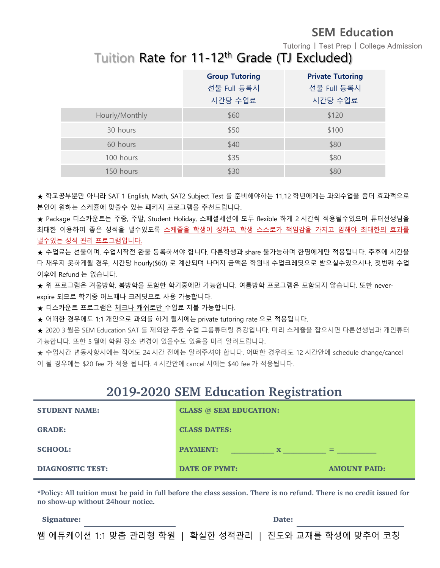Tutoring | Test Prep | College Admission

## Tuition Rate for 11-12<sup>th</sup> Grade (TJ Excluded)

|                | <b>Group Tutoring</b> | <b>Private Tutoring</b> |
|----------------|-----------------------|-------------------------|
|                | 선불 Full 등록시           | 선불 Full 등록시             |
|                | 시간당 수업료               | 시간당 수업료                 |
| Hourly/Monthly | \$60                  | \$120                   |
| 30 hours       | \$50                  | \$100                   |
| 60 hours       | \$40                  | \$80                    |
| 100 hours      | \$35                  | \$80                    |
| 150 hours      | \$30                  | \$80                    |

★ 학교공부뿐만 아니라 SAT 1 English, Math, SAT2 Subject Test 를 준비해야하는 11,12 학년에게는 과외수업을 좀더 효과적으로 본인이 원하는 스케쥴에 맞출수 있는 패키지 프로그램을 추천드립니다.

★ Package 디스카운트는 주중, 주말, Student Holiday, 스페셜세션에 모두 flexible 하게 2 시간씩 적용될수있으며 튜터선생님을 최대한 이용하여 좋은 성적을 낼수있도록 스케쥴을 학생이 정하고, 학생 스스로가 책임감을 가지고 임해야 최대한의 효과를 낼수있는 성적 관리 프로그램입니다.

★ 수업료는 선불이며, 수업시작전 완불 등록하셔야 합니다. 다른학생과 share 불가능하며 한명에게만 적용됩니다. 추후에 시간을 다 채우지 못하게될 경우, 시간당 hourly(\$60) 로 계산되며 나머지 금액은 학원내 수업크레딧으로 받으실수있으시나, 첫번쨰 수업 이후에 Refund 는 없습니다.

★ 위 프로그램은 겨울방학, 봄방학을 포함한 학기중에만 가능합니다. 여름방학 프로그램은 포함되지 않습니다. 또한 neverexpire 되므로 학기중 어느때나 크레딧으로 사용 가능합니다.

★ 디스카운트 프로그램은 체크나 캐쉬로만 수업료 지불 가능합니다.

★ 어떠한 경우에도 1:1 개인으로 과외를 하게 될시에는 private tutoring rate 으로 적용됩니다.

★ 2020 3 월은 SEM Education SAT 를 제외한 주중 수업 그룹튜터링 휴강입니다. 미리 스케쥴을 잡으시면 다른선생님과 개인튜터 가능합니다. 또한 5 월에 학원 장소 변경이 있을수도 있음을 미리 알려드립니다.

★ 수업시간 변동사항시에는 적어도 24 시간 전에는 알려주셔야 합니다. 어떠한 경우라도 12 시간안에 schedule change/cancel 이 될 경우에는 \$20 fee 가 적용 됩니다. 4 시간안에 cancel 시에는 \$40 fee 가 적용됩니다.

#### **2019-2020 SEM Education Registration**

| <b>STUDENT NAME:</b>    | <b>CLASS @ SEM EDUCATION:</b>  |                     |
|-------------------------|--------------------------------|---------------------|
| <b>GRADE:</b>           | <b>CLASS DATES:</b>            |                     |
| <b>SCHOOL:</b>          | <b>PAYMENT:</b><br>$\mathbf x$ | $=$                 |
| <b>DIAGNOSTIC TEST:</b> | <b>DATE OF PYMT:</b>           | <b>AMOUNT PAID:</b> |

**\*Policy: All tuition must be paid in full before the class session. There is no refund. There is no credit issued for no show-up without 24hour notice.** 

Signature: Date: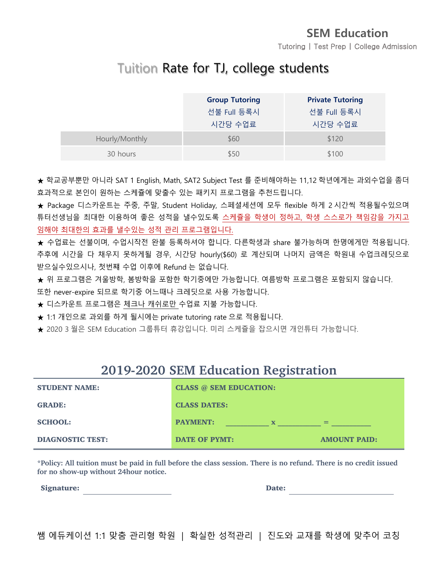Tutoring | Test Prep | College Admission

## Tuition Rate for TJ, college students

|                | <b>Group Tutoring</b> | <b>Private Tutoring</b> |
|----------------|-----------------------|-------------------------|
|                | 선불 Full 등록시           | 선불 Full 등록시             |
|                | 시간당 수업료               | 시간당 수업료                 |
| Hourly/Monthly | \$60                  | \$120                   |
| 30 hours       | \$50                  | \$100                   |

★ 학교공부뿐만 아니라 SAT 1 English, Math, SAT2 Subject Test 를 준비해야하는 11,12 학년에게는 과외수업을 좀더 효과적으로 본인이 원하는 스케쥴에 맞출수 있는 패키지 프로그램을 추천드립니다.

★ Package 디스카운트는 주중, 주말, Student Holiday, 스페셜세션에 모두 flexible 하게 2 시간씩 적용될수있으며 튜터선생님을 최대한 이용하여 좋은 성적을 낼수있도록 스케쥴을 학생이 정하고, 학생 스스로가 책임감을 가지고 임해야 최대한의 효과를 낼수있는 성적 관리 프로그램입니다.

★ 수업료는 선불이며, 수업시작전 완불 등록하셔야 합니다. 다른학생과 share 불가능하며 한명에게만 적용됩니다. 추후에 시간을 다 채우지 못하게될 경우, 시간당 hourly(\$60) 로 계산되며 나머지 금액은 학원내 수업크레딧으로 받으실수있으시나, 첫번쨰 수업 이후에 Refund 는 없습니다.

★ 위 프로그램은 겨울방학, 봄방학을 포함한 학기중에만 가능합니다. 여름방학 프로그램은 포함되지 않습니다.

또한 never-expire 되므로 학기중 어느때나 크레딧으로 사용 가능합니다.

★ 디스카운트 프로그램은 체크나 캐쉬로만 수업료 지불 가능합니다.

★ 1:1 개인으로 과외를 하게 될시에는 private tutoring rate 으로 적용됩니다.

★ 2020 3 월은 SEM Education 그룹튜터 휴강입니다. 미리 스케쥴을 잡으시면 개인튜터 가능합니다.

## **2019-2020 SEM Education Registration**

| <b>STUDENT NAME:</b>    | <b>CLASS @ SEM EDUCATION:</b>  |                     |
|-------------------------|--------------------------------|---------------------|
| <b>GRADE:</b>           | <b>CLASS DATES:</b>            |                     |
| <b>SCHOOL:</b>          | <b>PAYMENT:</b><br>$\mathbf x$ | $=$                 |
| <b>DIAGNOSTIC TEST:</b> | <b>DATE OF PYMT:</b>           | <b>AMOUNT PAID:</b> |

**\*Policy: All tuition must be paid in full before the class session. There is no refund. There is no credit issued for no show-up without 24hour notice.** 

Signature: Date: Date: Date: Date: Date: Date: Date: Date: Date: Date: Date: Date: Date: Date: Date: Date: Date: Date: Date: Date: Date: Date: Date: Date: Date: Date: Date: Date: Date: Date: Date: Date: Date: Date: Date: D